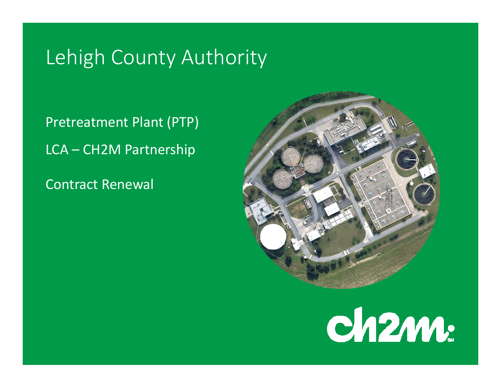# Lehigh County Authority

Pretreatment Plant (PTP) LCA – CH2M Partnership

Contract Renewal



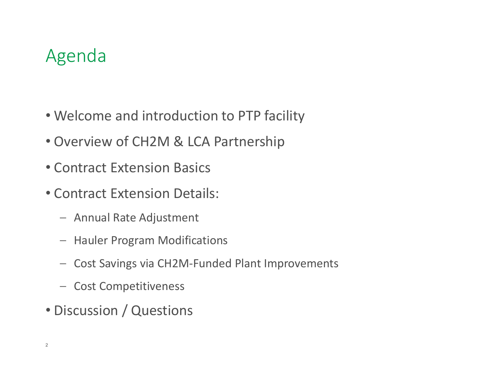## Agenda

- Welcome and introduction to PTP facility
- Overview of CH2M & LCA Partnership
- Contract Extension Basics
- Contract Extension Details:
	- Annual Rate Adjustment
	- Hauler Program Modifications
	- Cost Savings via CH2M‐Funded Plant Improvements
	- Cost Competitiveness
- Discussion / Questions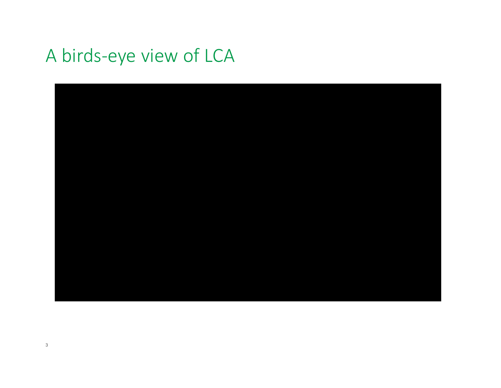# A birds‐eye view of LCA

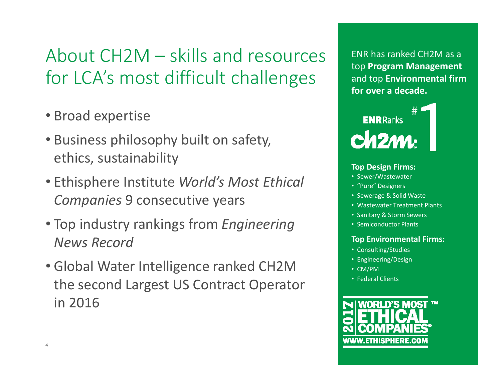# About CH2M – skills and resources for LCA's most difficult challenges

- Broad expertise
- Business philosophy built on safety, ethics, sustainability
- Ethisphere Institute *World's Most Ethical Companies* 9 consecutive years
- Top industry rankings from *Engineering News Record*
- Global Water Intelligence ranked CH2M the second Largest US Contract Operator in 2016

ENR has ranked CH2M as a top **Program Management**  and top **Environmental firm for over a decade.**



#### **Top Design Firms:**

- Sewer/Wastewater
- "Pure" Designers
- Sewerage & Solid Waste
- Wastewater Treatment Plants
- Sanitary & Storm Sewers
- Semiconductor Plants

#### **Top Environmental Firms:**

- Consulting/Studies
- Engineering/Design
- CM/PM
- Federal Clients

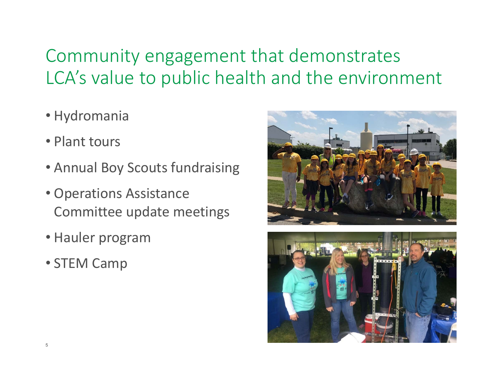# Community engagement that demonstrates LCA's value to public health and the environment

- Hydromania
- Plant tours
- Annual Boy Scouts fundraising
- Operations Assistance Committee update meetings
- Hauler program
- STEM Camp



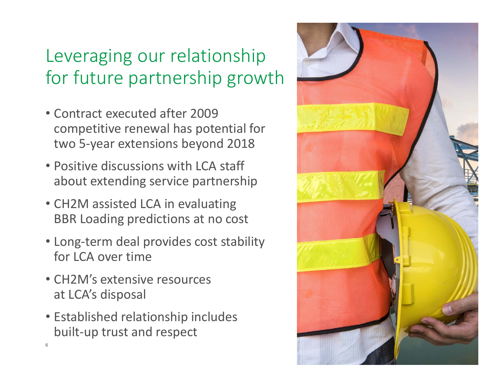# Leveraging our relationship for future partnership growth

- Contract executed after 2009 competitive renewal has potential for two 5‐year extensions beyond 2018
- Positive discussions with LCA staff about extending service partnership
- CH2M assisted LCA in evaluating BBR Loading predictions at no cost
- Long‐term deal provides cost stability for LCA over time
- CH2M's extensive resources at LCA's disposal

6

• Established relationship includes built‐up trust and respect

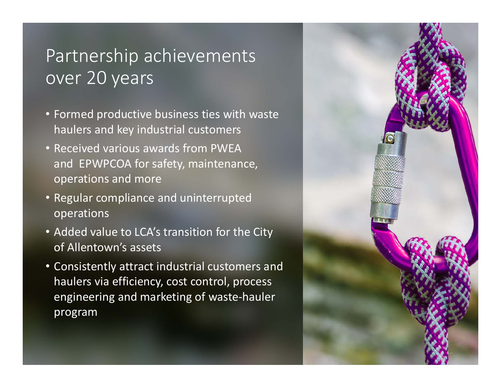#### Partnership achievements over 20 years

- Formed productive business ties with waste haulers and key industrial customers
- Received various awards from PWEA and EPWPCOA for safety, maintenance, operations and more
- Regular compliance and uninterrupted operations
- Added value to LCA's transition for the City of Allentown's assets
- Consistently attract industrial customers and haulers via efficiency, cost control, process engineering and marketing of waste‐hauler program

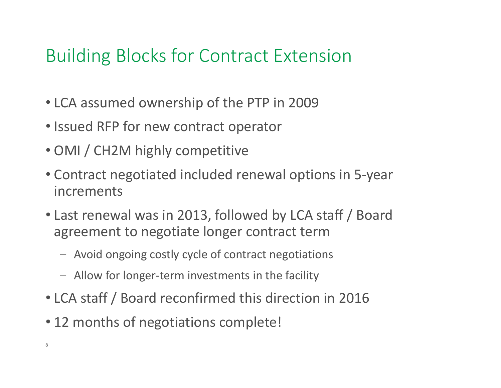## Building Blocks for Contract Extension

- LCA assumed ownership of the PTP in 2009
- Issued RFP for new contract operator
- OMI / CH2M highly competitive
- Contract negotiated included renewal options in 5‐year increments
- Last renewal was in 2013, followed by LCA staff / Board agreement to negotiate longer contract term
	- Avoid ongoing costly cycle of contract negotiations
	- Allow for longer‐term investments in the facility
- LCA staff / Board reconfirmed this direction in 2016
- 12 months of negotiations complete!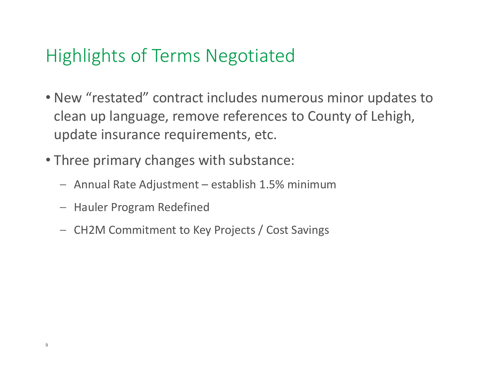#### Highlights of Terms Negotiated

- New "restated" contract includes numerous minor updates to clean up language, remove references to County of Lehigh, update insurance requirements, etc.
- Three primary changes with substance:
	- Annual Rate Adjustment establish 1.5% minimum
	- Hauler Program Redefined
	- –CH2M Commitment to Key Projects / Cost Savings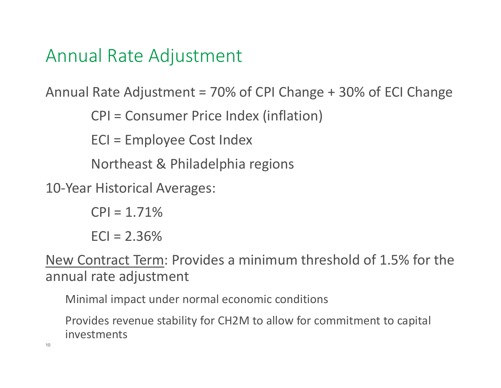#### Annual Rate Adjustment

Annual Rate Adjustment = 70% of CPI Change + 30% of ECI Change

CPI = Consumer Price Index (inflation)

ECI = Employee Cost Index

Northeast & Philadelphia regions

10‐Year Historical Averages:

 $|CP| = 1.71\%$  $ECI = 2.36%$ 

New Contract Term: Provides a minimum threshold of 1.5% for the annual rate adjustment

Minimal impact under normal economic conditions

Provides revenue stability for CH2M to allow for commitment to capital investments

10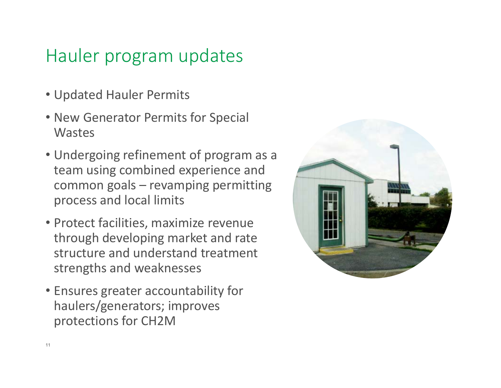#### Hauler program updates

- Updated Hauler Permits
- New Generator Permits for Special **Wastes**
- Undergoing refinement of program as a team using combined experience and common goals – revamping permitting process and local limits
- Protect facilities, maximize revenue through developing market and rate structure and understand treatment strengths and weaknesses
- Ensures greater accountability for haulers/generators; improves protections for CH2M

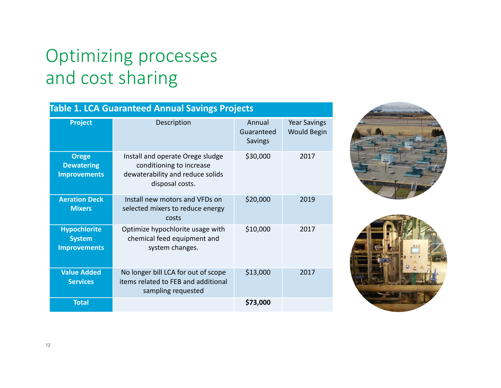## Optimizing processes and cost sharing

#### **Table 1. LCA Guaranteed Annual Savings Projects**

| <b>Project</b>                                              | Description                                                                                                         | Annual<br>Guaranteed<br><b>Savings</b> | <b>Year Savings</b><br><b>Would Begin</b> |
|-------------------------------------------------------------|---------------------------------------------------------------------------------------------------------------------|----------------------------------------|-------------------------------------------|
| <b>Orege</b><br><b>Dewatering</b><br><b>Improvements</b>    | Install and operate Orege sludge<br>conditioning to increase<br>dewaterability and reduce solids<br>disposal costs. | \$30,000                               | 2017                                      |
| <b>Aeration Deck</b><br><b>Mixers</b>                       | Install new motors and VFDs on<br>selected mixers to reduce energy<br>costs                                         | \$20,000                               | 2019                                      |
| <b>Hypochlorite</b><br><b>System</b><br><b>Improvements</b> | Optimize hypochlorite usage with<br>chemical feed equipment and<br>system changes.                                  | \$10,000                               | 2017                                      |
| <b>Value Added</b><br><b>Services</b>                       | No longer bill LCA for out of scope<br>items related to FEB and additional<br>sampling requested                    | \$13,000                               | 2017                                      |
| <b>Total</b>                                                |                                                                                                                     | \$73,000                               |                                           |



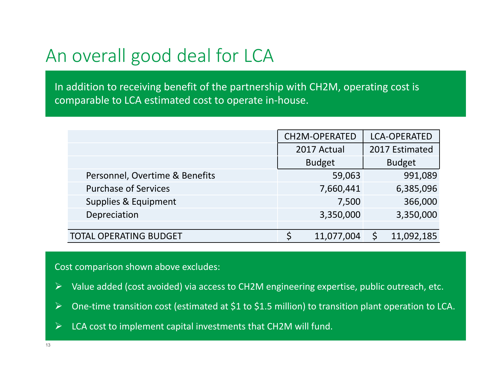### An overall good deal for LCA

In addition to receiving benefit of the partnership with CH2M, operating cost is comparable to LCA estimated cost to operate in‐house.

|                                | <b>CH2M-OPERATED</b> | <b>LCA-OPERATED</b> |
|--------------------------------|----------------------|---------------------|
|                                | 2017 Actual          | 2017 Estimated      |
|                                | <b>Budget</b>        | <b>Budget</b>       |
| Personnel, Overtime & Benefits | 59,063               | 991,089             |
| <b>Purchase of Services</b>    | 7,660,441            | 6,385,096           |
| Supplies & Equipment           | 7,500                | 366,000             |
| Depreciation                   | 3,350,000            | 3,350,000           |
|                                |                      |                     |
| <b>TOTAL OPERATING BUDGET</b>  | 11,077,004           | 11,092,185          |

Cost comparison shown above excludes:

- $\blacktriangleright$ Value added (cost avoided) via access to CH2M engineering expertise, public outreach, etc.
- $\blacktriangleright$ One-time transition cost (estimated at \$1 to \$1.5 million) to transition plant operation to LCA.
- $\blacktriangleright$ LCA cost to implement capital investments that CH2M will fund.

13